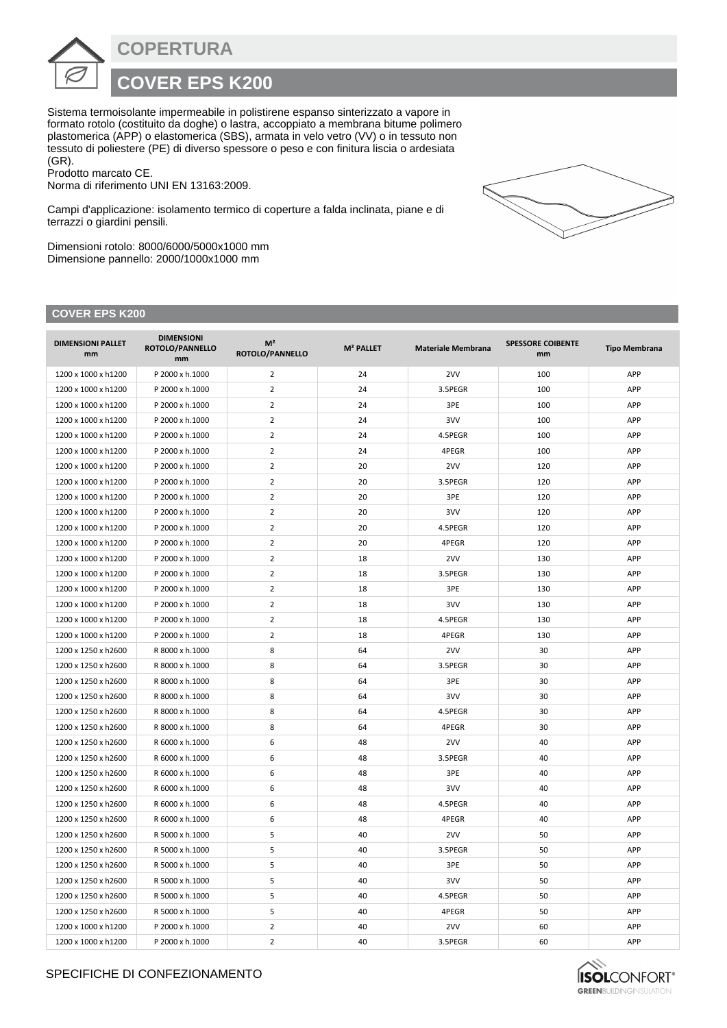**COPERTURA**

## **COVER EPS K200**

Sistema termoisolante impermeabile in polistirene espanso sinterizzato a vapore in formato rotolo (costituito da doghe) o lastra, accoppiato a membrana bitume polimero plastomerica (APP) o elastomerica (SBS), armata in velo vetro (VV) o in tessuto non tessuto di poliestere (PE) di diverso spessore o peso e con finitura liscia o ardesiata (GR).

Prodotto marcato CE.

Norma di riferimento UNI EN 13163:2009.

Campi d'applicazione: isolamento termico di coperture a falda inclinata, piane e di terrazzi o giardini pensili.

Dimensioni rotolo: 8000/6000/5000x1000 mm Dimensione pannello: 2000/1000x1000 mm

## **COVER EPS K200**

| <b>DIMENSIONI PALLET</b><br>mm | <b>DIMENSIONI</b><br>ROTOLO/PANNELLO<br>mm | M <sup>2</sup><br>ROTOLO/PANNELLO | M <sup>2</sup> PALLET | <b>Materiale Membrana</b> | <b>SPESSORE COIBENTE</b><br>mm | <b>Tipo Membrana</b> |
|--------------------------------|--------------------------------------------|-----------------------------------|-----------------------|---------------------------|--------------------------------|----------------------|
| 1200 x 1000 x h1200            | P 2000 x h.1000                            | $\overline{2}$                    | 24                    | 2VV                       | 100                            | APP                  |
| 1200 x 1000 x h1200            | P 2000 x h.1000                            | $\overline{2}$                    | 24                    | 3.5PEGR                   | 100                            | APP                  |
| 1200 x 1000 x h1200            | P 2000 x h.1000                            | $\overline{2}$                    | 24                    | 3PE                       | 100                            | APP                  |
| 1200 x 1000 x h1200            | P 2000 x h.1000                            | $\overline{2}$                    | 24                    | 3VV                       | 100                            | APP                  |
| 1200 x 1000 x h1200            | P 2000 x h.1000                            | $\overline{2}$                    | 24                    | 4.5PEGR                   | 100                            | APP                  |
| 1200 x 1000 x h1200            | P 2000 x h.1000                            | $\overline{2}$                    | 24                    | 4PEGR                     | 100                            | APP                  |
| 1200 x 1000 x h1200            | P 2000 x h.1000                            | $\overline{2}$                    | 20                    | 2VV                       | 120                            | APP                  |
| 1200 x 1000 x h1200            | P 2000 x h.1000                            | $\overline{2}$                    | 20                    | 3.5PEGR                   | 120                            | APP                  |
| 1200 x 1000 x h1200            | P 2000 x h.1000                            | $\overline{2}$                    | 20                    | 3PE                       | 120                            | APP                  |
| 1200 x 1000 x h1200            | P 2000 x h.1000                            | $\overline{2}$                    | 20                    | 3VV                       | 120                            | APP                  |
| 1200 x 1000 x h1200            | P 2000 x h.1000                            | $\overline{2}$                    | 20                    | 4.5PEGR                   | 120                            | APP                  |
| 1200 x 1000 x h1200            | P 2000 x h.1000                            | $\overline{2}$                    | 20                    | 4PEGR                     | 120                            | APP                  |
| 1200 x 1000 x h1200            | P 2000 x h.1000                            | $\overline{2}$                    | 18                    | 2VV                       | 130                            | APP                  |
| 1200 x 1000 x h1200            | P 2000 x h.1000                            | $\overline{2}$                    | 18                    | 3.5PEGR                   | 130                            | APP                  |
| 1200 x 1000 x h1200            | P 2000 x h.1000                            | $\overline{2}$                    | 18                    | 3PE                       | 130                            | APP                  |
| 1200 x 1000 x h1200            | P 2000 x h.1000                            | $\overline{2}$                    | 18                    | 3VV                       | 130                            | APP                  |
| 1200 x 1000 x h1200            | P 2000 x h.1000                            | $\overline{2}$                    | 18                    | 4.5PEGR                   | 130                            | APP                  |
| 1200 x 1000 x h1200            | P 2000 x h.1000                            | $\overline{2}$                    | 18                    | 4PEGR                     | 130                            | APP                  |
| 1200 x 1250 x h2600            | R 8000 x h.1000                            | 8                                 | 64                    | 2VV                       | 30                             | APP                  |
| 1200 x 1250 x h2600            | R 8000 x h.1000                            | 8                                 | 64                    | 3.5PEGR                   | 30                             | APP                  |
| 1200 x 1250 x h2600            | R 8000 x h.1000                            | 8                                 | 64                    | 3PE                       | 30                             | APP                  |
| 1200 x 1250 x h2600            | R 8000 x h.1000                            | 8                                 | 64                    | 3VV                       | 30                             | APP                  |
| 1200 x 1250 x h2600            | R 8000 x h.1000                            | 8                                 | 64                    | 4.5PEGR                   | 30                             | APP                  |
| 1200 x 1250 x h2600            | R 8000 x h.1000                            | 8                                 | 64                    | 4PEGR                     | 30                             | APP                  |
| 1200 x 1250 x h2600            | R 6000 x h.1000                            | 6                                 | 48                    | 2VV                       | 40                             | APP                  |
| 1200 x 1250 x h2600            | R 6000 x h.1000                            | 6                                 | 48                    | 3.5PEGR                   | 40                             | APP                  |
| 1200 x 1250 x h2600            | R 6000 x h.1000                            | 6                                 | 48                    | 3PE                       | 40                             | APP                  |
| 1200 x 1250 x h2600            | R 6000 x h.1000                            | 6                                 | 48                    | 3VV                       | 40                             | APP                  |
| 1200 x 1250 x h2600            | R 6000 x h.1000                            | 6                                 | 48                    | 4.5PEGR                   | 40                             | APP                  |
| 1200 x 1250 x h2600            | R 6000 x h.1000                            | 6                                 | 48                    | 4PEGR                     | 40                             | APP                  |
| 1200 x 1250 x h2600            | R 5000 x h.1000                            | 5                                 | 40                    | 2VV                       | 50                             | APP                  |
| 1200 x 1250 x h2600            | R 5000 x h.1000                            | 5                                 | 40                    | 3.5PEGR                   | 50                             | APP                  |
| 1200 x 1250 x h2600            | R 5000 x h.1000                            | 5                                 | 40                    | 3PE                       | 50                             | APP                  |
| 1200 x 1250 x h2600            | R 5000 x h.1000                            | 5                                 | 40                    | 3VV                       | 50                             | APP                  |
| 1200 x 1250 x h2600            | R 5000 x h.1000                            | 5                                 | 40                    | 4.5PEGR                   | 50                             | APP                  |
| 1200 x 1250 x h2600            | R 5000 x h.1000                            | 5                                 | 40                    | 4PEGR                     | 50                             | APP                  |
| 1200 x 1000 x h1200            | P 2000 x h.1000                            | $\overline{2}$                    | 40                    | 2VV                       | 60                             | APP                  |
| 1200 x 1000 x h1200            | P 2000 x h.1000                            | $\overline{2}$                    | 40                    | 3.5PEGR                   | 60                             | APP                  |



## SPECIFICHE DI CONFEZIONAMENTO